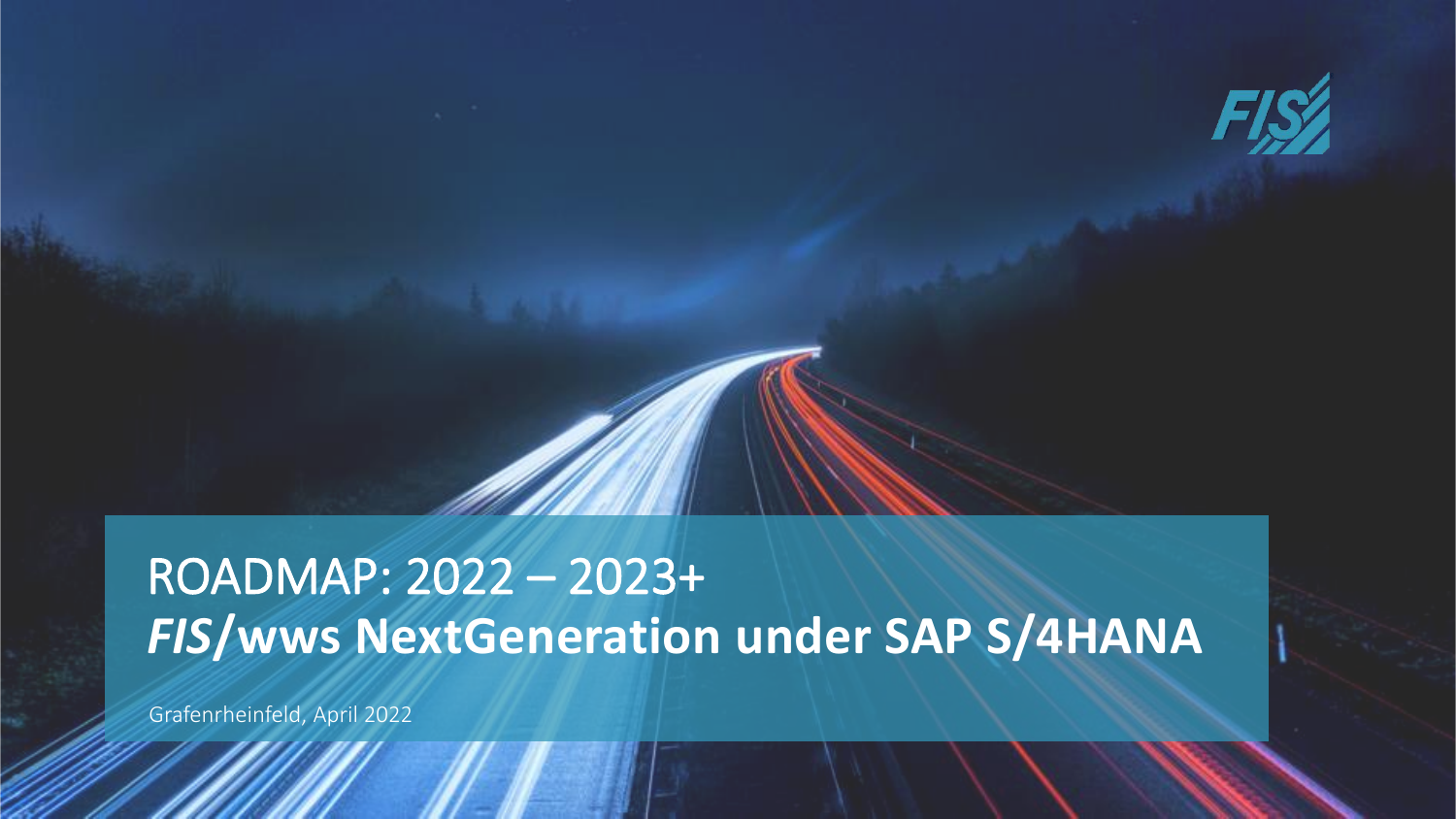

# *FIS***/wws NextGeneration under SAP S/4HANA** ROADMAP: 2022 – 2023+

Grafenrheinfeld, April 2022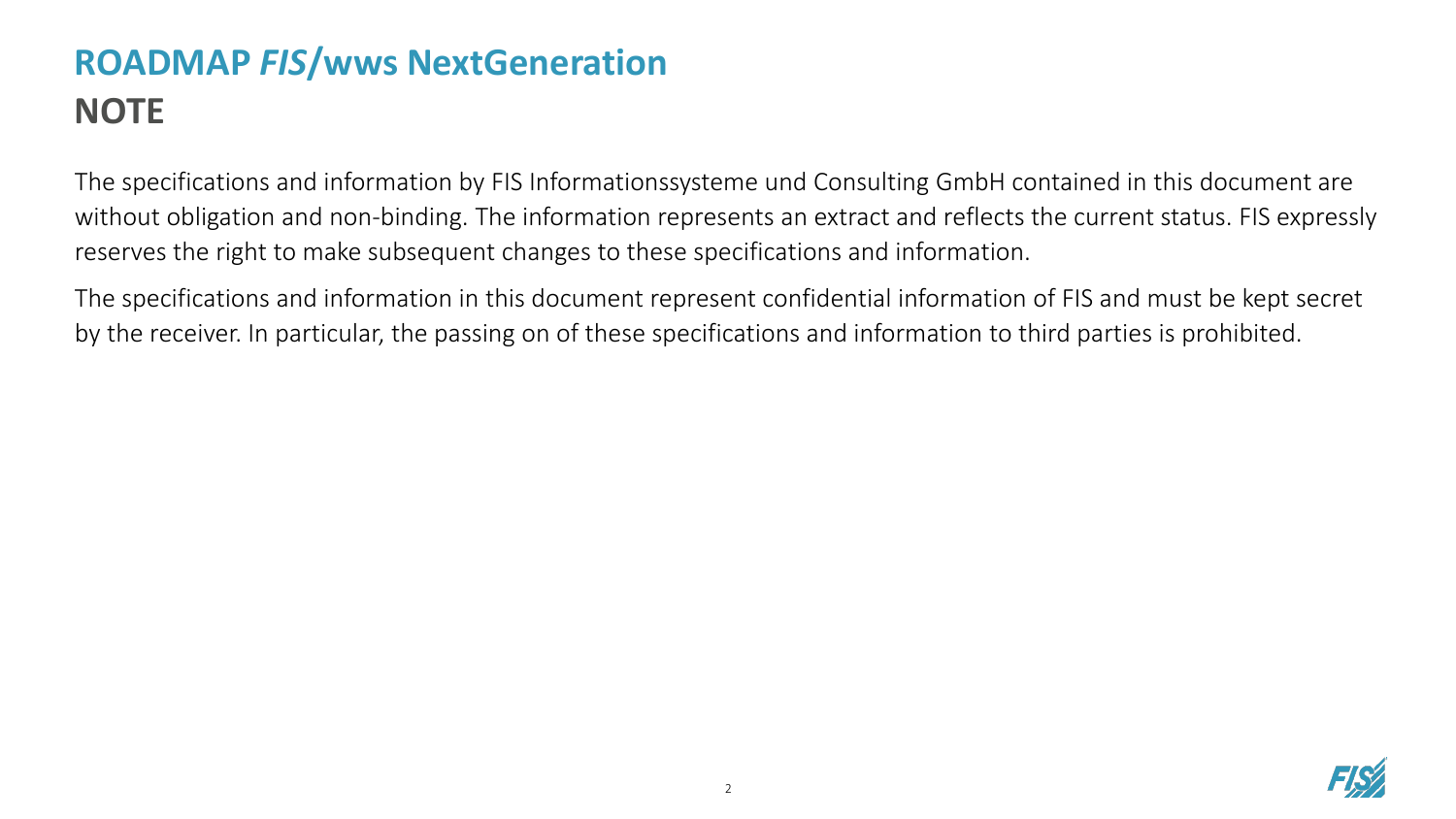The specifications and information by FIS Informationssysteme und Consulting GmbH contained in this document are without obligation and non-binding. The information represents an extract and reflects the current status. FIS expressly reserves the right to make subsequent changes to these specifications and information.

The specifications and information in this document represent confidential information of FIS and must be kept secret by the receiver. In particular, the passing on of these specifications and information to third parties is prohibited.

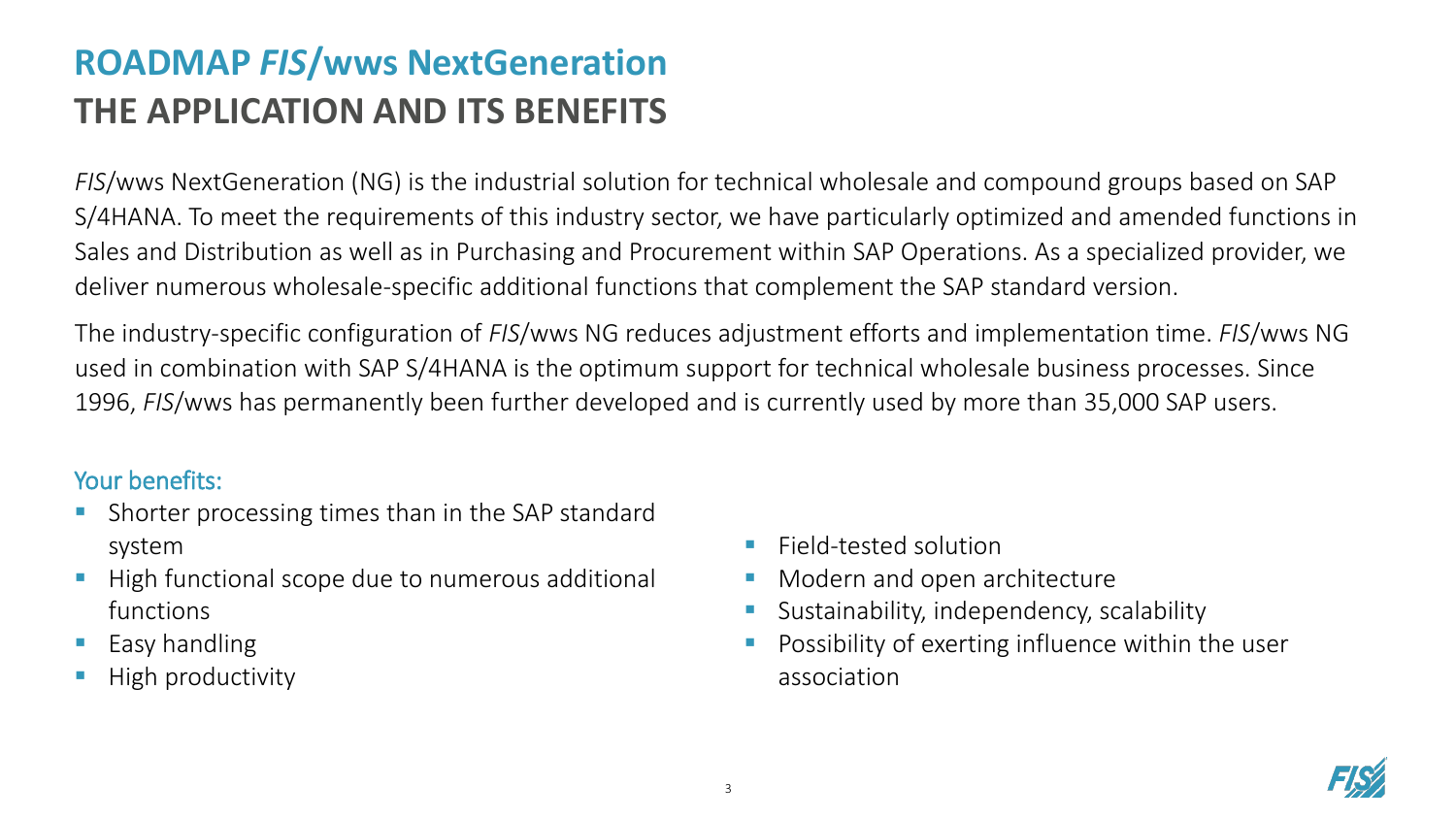### **ROADMAP** *FIS***/wws NextGeneration THE APPLICATION AND ITS BENEFITS**

*FIS*/wws NextGeneration (NG) is the industrial solution for technical wholesale and compound groups based on SAP S/4HANA. To meet the requirements of this industry sector, we have particularly optimized and amended functions in Sales and Distribution as well as in Purchasing and Procurement within SAP Operations. As a specialized provider, we deliver numerous wholesale-specific additional functions that complement the SAP standard version.

The industry-specific configuration of *FIS*/wws NG reduces adjustment efforts and implementation time. *FIS*/wws NG used in combination with SAP S/4HANA is the optimum support for technical wholesale business processes. Since 1996, *FIS*/wws has permanently been further developed and is currently used by more than 35,000 SAP users.

#### Your benefits:

- Shorter processing times than in the SAP standard system
- High functional scope due to numerous additional functions
- Easy handling
- High productivity
- Field-tested solution
- Modern and open architecture
- Sustainability, independency, scalability
- Possibility of exerting influence within the user association

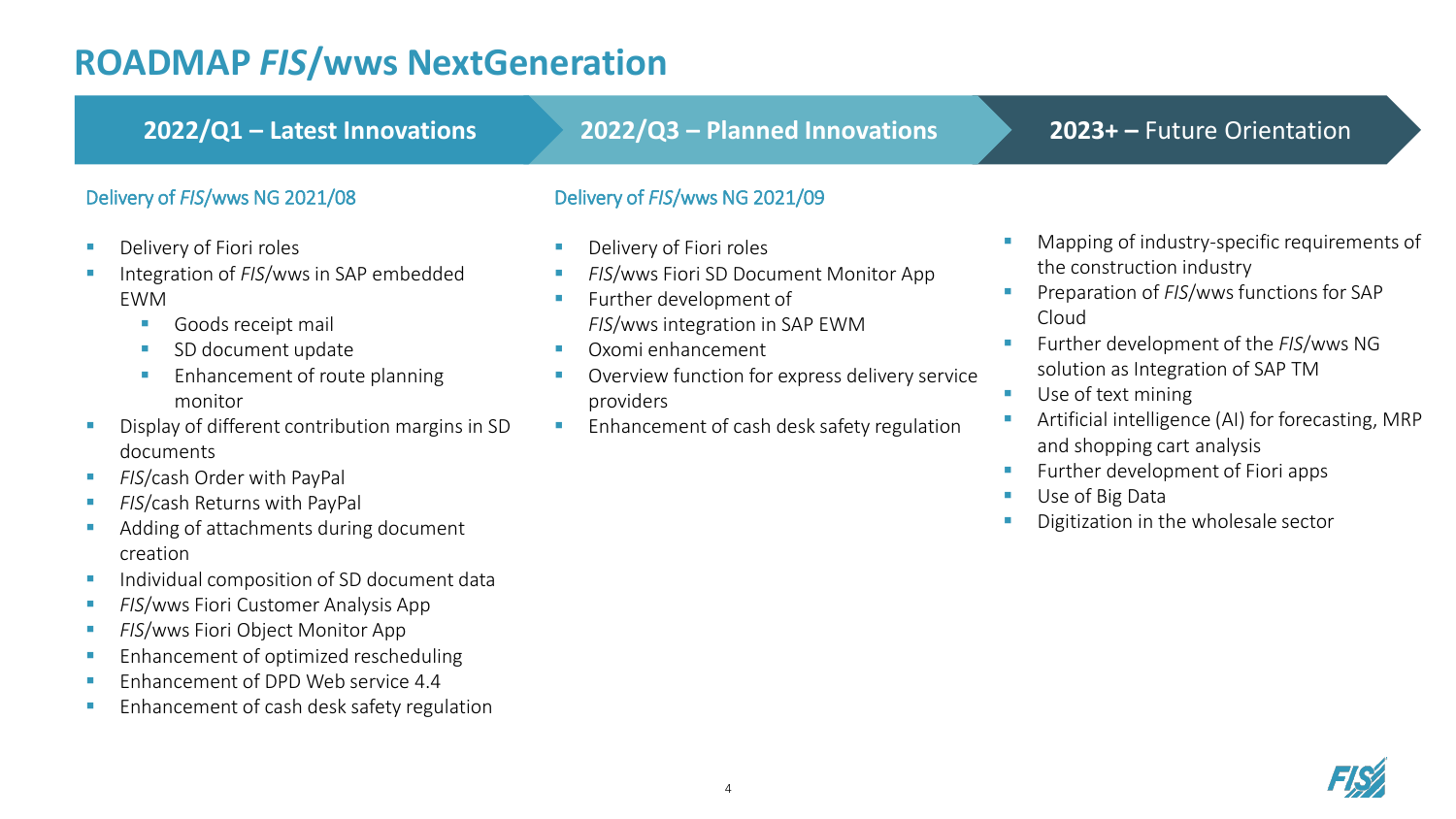creation

■ Individual composition of SD document data

**Enhancement of cash desk safety regulation** 

**E** *FIS*/wws Fiori Customer Analysis App **E** *FIS*/wws Fiori Object Monitor App

**Enhancement of optimized rescheduling EXECUTE:** Enhancement of DPD Web service 4.4

#### **2023+ –** Future Orientation Delivery of *FIS*/wws NG 2021/09 ■ Delivery of Fiori roles **E** *FIS*/wws Fiori SD Document Monitor App **EXECUTE:** Further development of *FIS*/wws integration in SAP EWM ■ Oxomi enhancement ■ Overview function for express delivery service providers ■ Enhancement of cash desk safety regulation **2022/Q1 – Latest Innovations 2022/Q3 – Planned Innovations** Delivery of *FIS*/wws NG 2021/08 ■ Delivery of Fiori roles ■ Integration of *FIS*/wws in SAP embedded EWM ■ Goods receipt mail ■ SD document update **Enhancement of route planning** monitor **E** Display of different contribution margins in SD documents **EXAMPLE FIS/cash Order with PayPal EXAMPLE FIS/cash Returns with PayPal** ■ Adding of attachments during document ■ Mapping of industry-specific requirements of the construction industry **EXP** Preparation of *FIS*/wws functions for SAP Cloud ■ Further development of the *FIS*/wws NG solution as Integration of SAP TM ■ Use of text mining Artificial intelligence (AI) for forecasting, MRP and shopping cart analysis **EXECUTE:** Further development of Fiori apps ■ Use of Big Data Digitization in the wholesale sector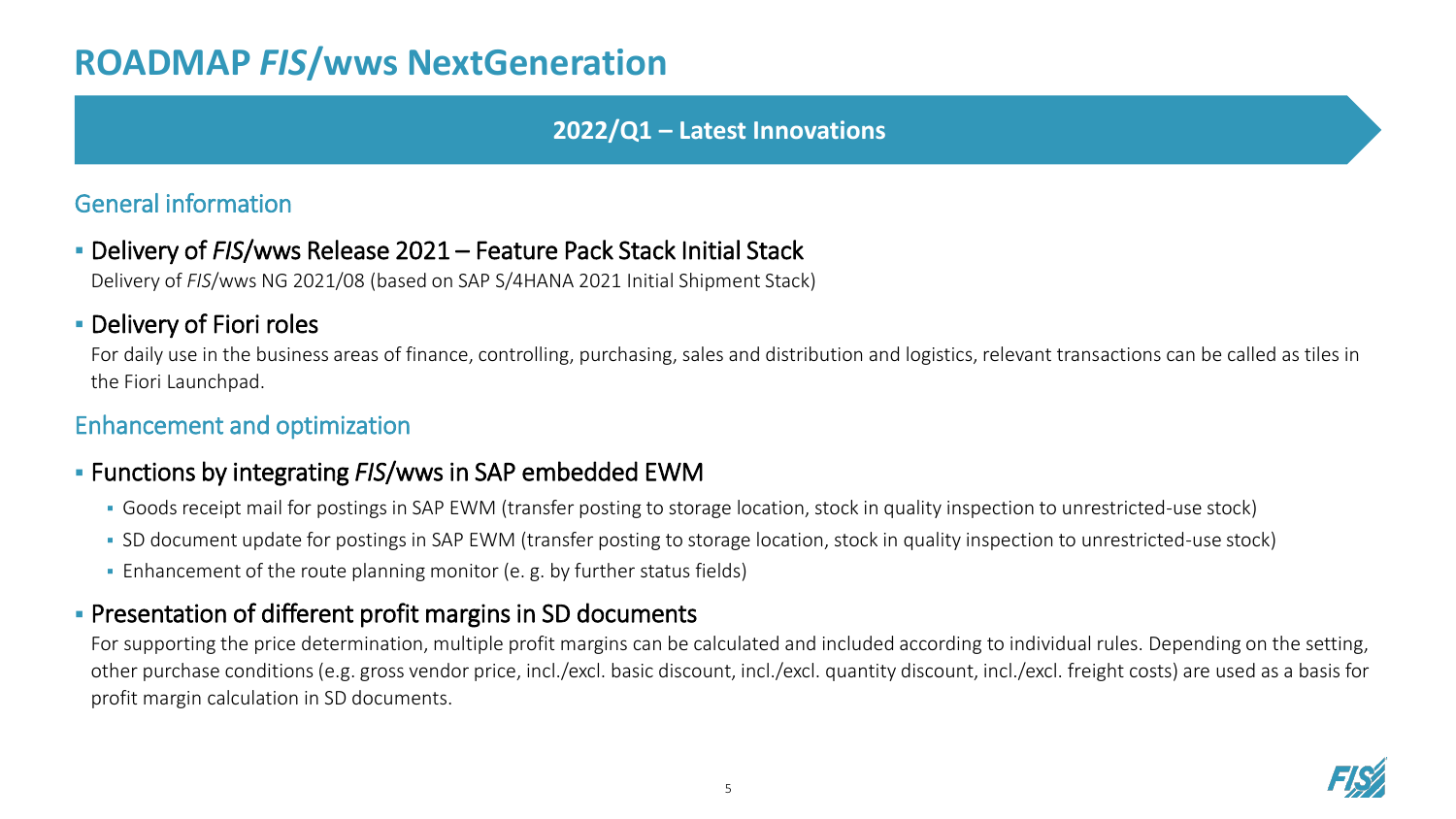#### **2022/Q1 – Latest Innovations**

#### General information

▪ Delivery of *FIS*/wws Release 2021 – Feature Pack Stack Initial Stack

Delivery of *FIS*/wws NG 2021/08 (based on SAP S/4HANA 2021 Initial Shipment Stack)

#### **• Delivery of Fiori roles**

For daily use in the business areas of finance, controlling, purchasing, sales and distribution and logistics, relevant transactions can be called as tiles in the Fiori Launchpad.

#### Enhancement and optimization

#### ▪ Functions by integrating *FIS*/wws in SAP embedded EWM

- Goods receipt mail for postings in SAP EWM (transfer posting to storage location, stock in quality inspection to unrestricted-use stock)
- SD document update for postings in SAP EWM (transfer posting to storage location, stock in quality inspection to unrestricted-use stock)
- Enhancement of the route planning monitor (e. g. by further status fields)

#### **• Presentation of different profit margins in SD documents**

For supporting the price determination, multiple profit margins can be calculated and included according to individual rules. Depending on the setting, other purchase conditions (e.g. gross vendor price, incl./excl. basic discount, incl./excl. quantity discount, incl./excl. freight costs) are used as a basis for profit margin calculation in SD documents.

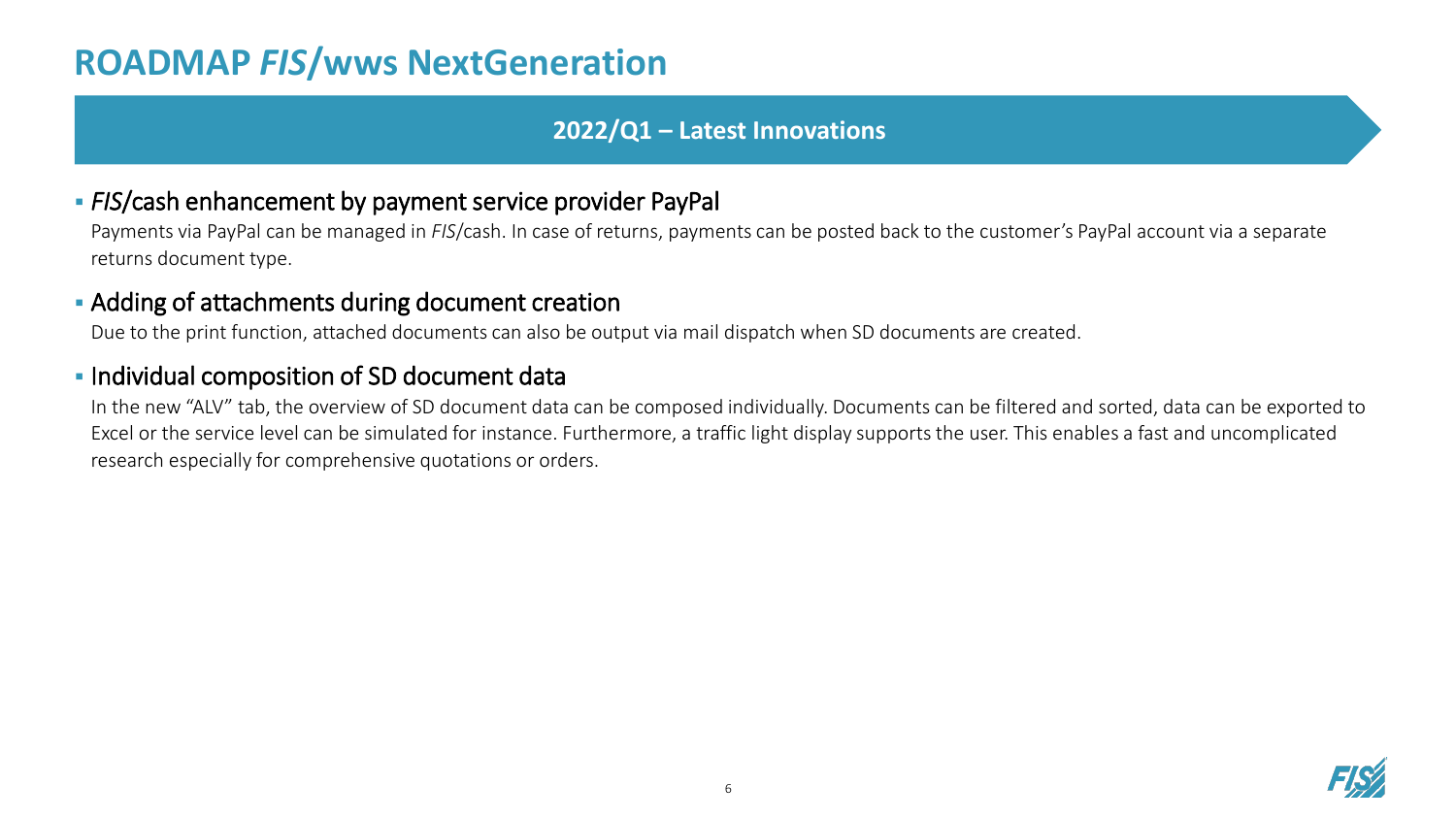#### **2022/Q1 – Latest Innovations**

#### ▪ *FIS*/cash enhancement by payment service provider PayPal

Payments via PayPal can be managed in *FIS*/cash. In case of returns, payments can be posted back to the customer's PayPal account via a separate returns document type.

#### **EXECT** Adding of attachments during document creation

Due to the print function, attached documents can also be output via mail dispatch when SD documents are created.

#### **.** Individual composition of SD document data

In the new "ALV" tab, the overview of SD document data can be composed individually. Documents can be filtered and sorted, data can be exported to Excel or the service level can be simulated for instance. Furthermore, a traffic light display supports the user. This enables a fast and uncomplicated research especially for comprehensive quotations or orders.

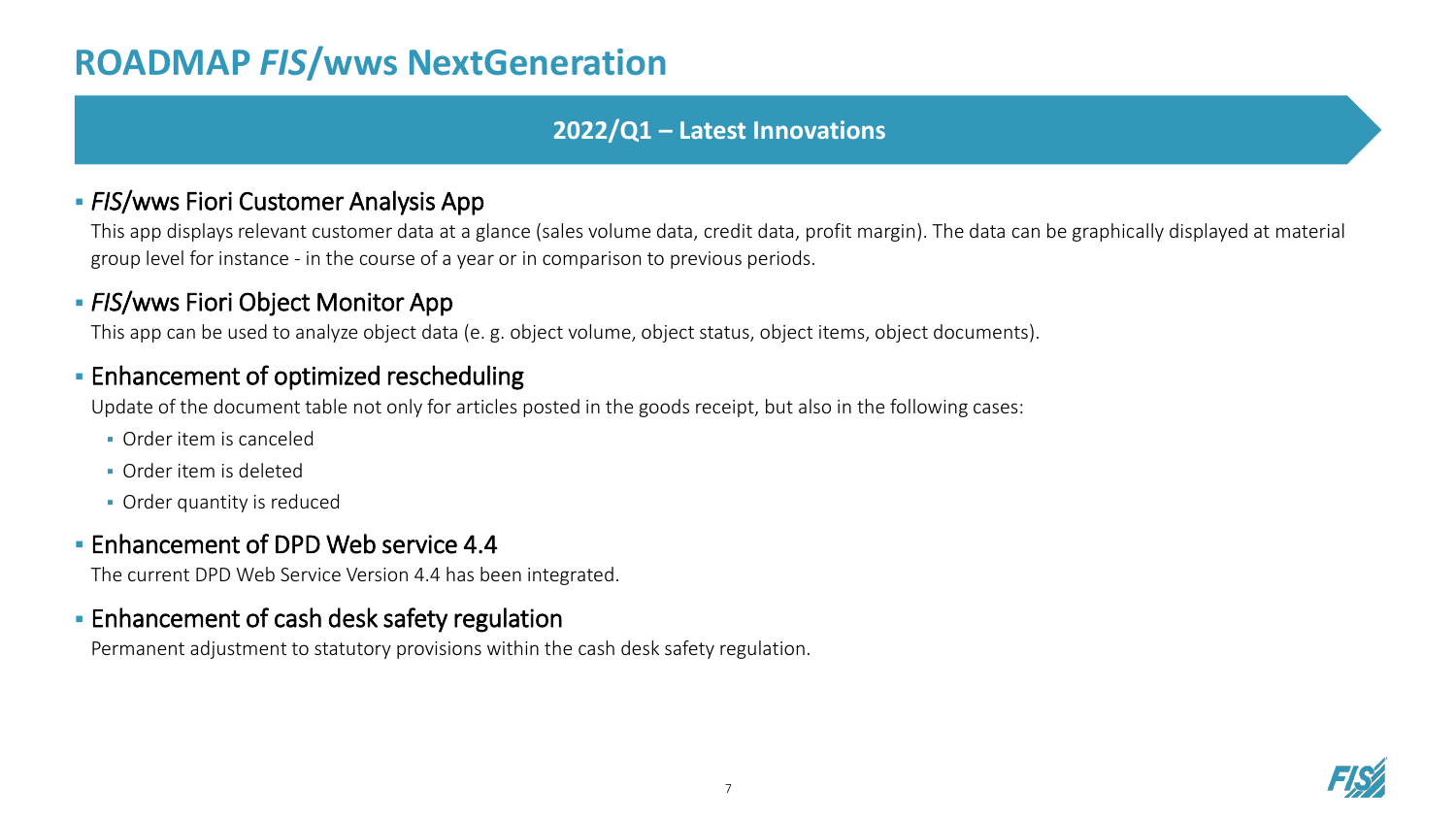#### **2022/Q1 – Latest Innovations**

#### **• FIS/wws Fiori Customer Analysis App**

This app displays relevant customer data at a glance (sales volume data, credit data, profit margin). The data can be graphically displayed at material group level for instance - in the course of a year or in comparison to previous periods.

#### **- FIS/wws Fiori Object Monitor App**

This app can be used to analyze object data (e. g. object volume, object status, object items, object documents).

#### **Enhancement of optimized rescheduling**

Update of the document table not only for articles posted in the goods receipt, but also in the following cases:

- Order item is canceled
- Order item is deleted
- **Order quantity is reduced**

#### **Enhancement of DPD Web service 4.4**

The current DPD Web Service Version 4.4 has been integrated.

#### **Enhancement of cash desk safety regulation**

Permanent adjustment to statutory provisions within the cash desk safety regulation.

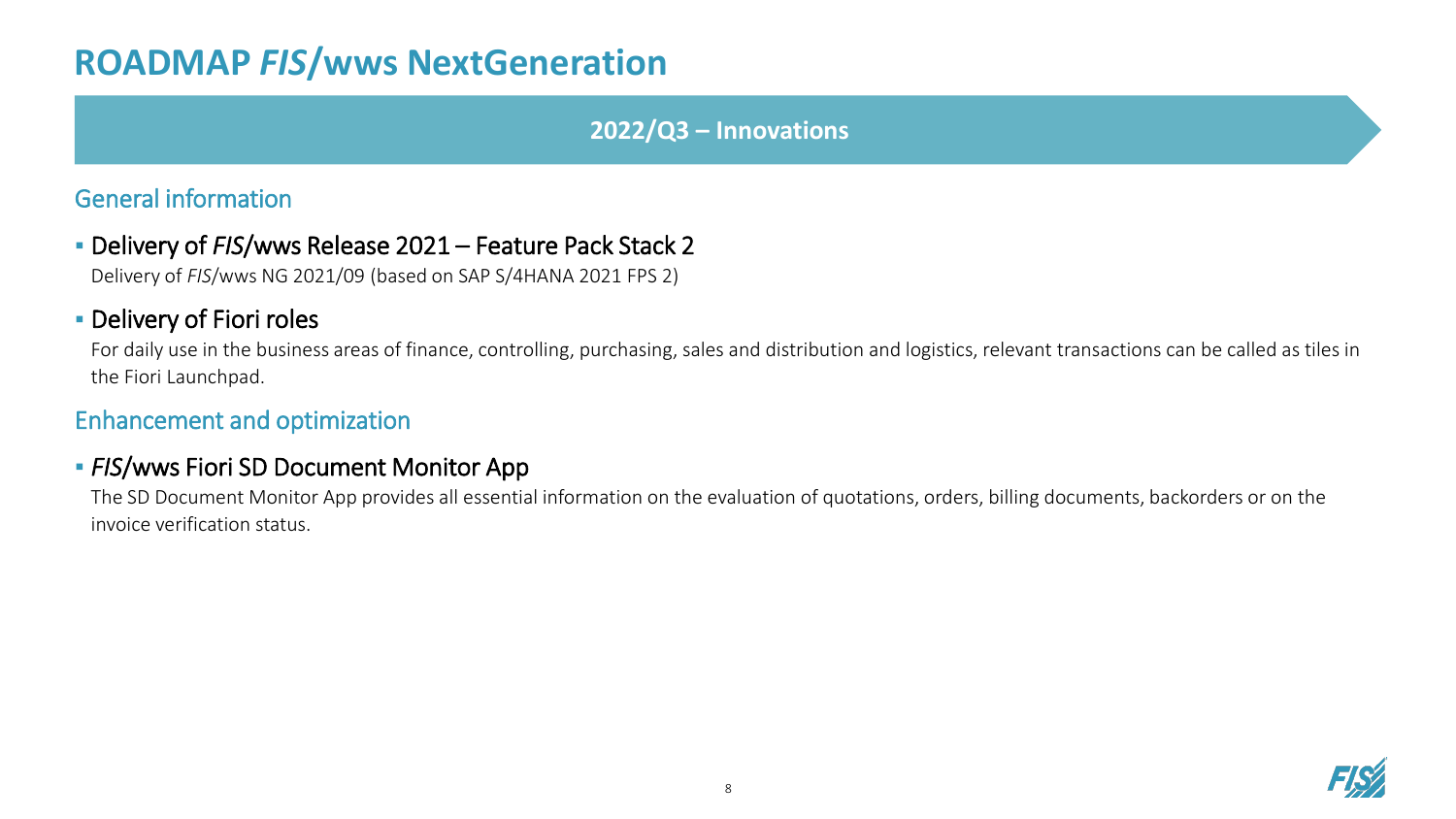#### **2022/Q3 – Innovations**

#### General information

▪ Delivery of *FIS*/wws Release 2021 – Feature Pack Stack 2

Delivery of *FIS*/wws NG 2021/09 (based on SAP S/4HANA 2021 FPS 2)

#### **- Delivery of Fiori roles**

For daily use in the business areas of finance, controlling, purchasing, sales and distribution and logistics, relevant transactions can be called as tiles in the Fiori Launchpad.

#### Enhancement and optimization

#### **- FIS/wws Fiori SD Document Monitor App**

The SD Document Monitor App provides all essential information on the evaluation of quotations, orders, billing documents, backorders or on the invoice verification status.

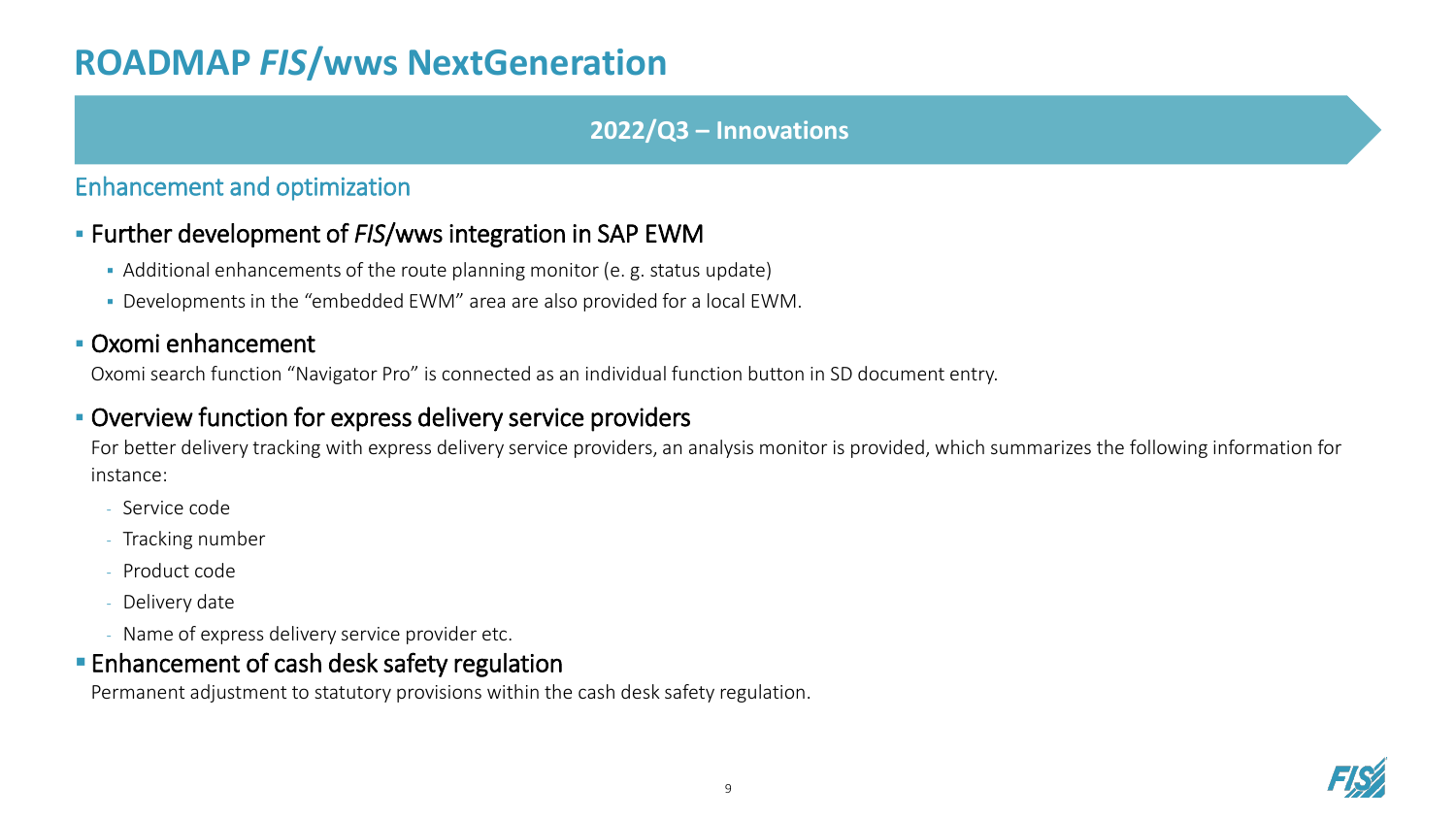#### **2022/Q3 – Innovations**

#### Enhancement and optimization

#### ▪ Further development of *FIS*/wws integration in SAP EWM

- Additional enhancements of the route planning monitor (e. g. status update)
- Developments in the "embedded EWM" area are also provided for a local EWM.

#### ▪ Oxomi enhancement

Oxomi search function "Navigator Pro" is connected as an individual function button in SD document entry.

#### ▪ Overview function for express delivery service providers

For better delivery tracking with express delivery service providers, an analysis monitor is provided, which summarizes the following information for instance:

- Service code
- Tracking number
- Product code
- Delivery date
- Name of express delivery service provider etc.

### **Enhancement of cash desk safety regulation**

Permanent adjustment to statutory provisions within the cash desk safety regulation.

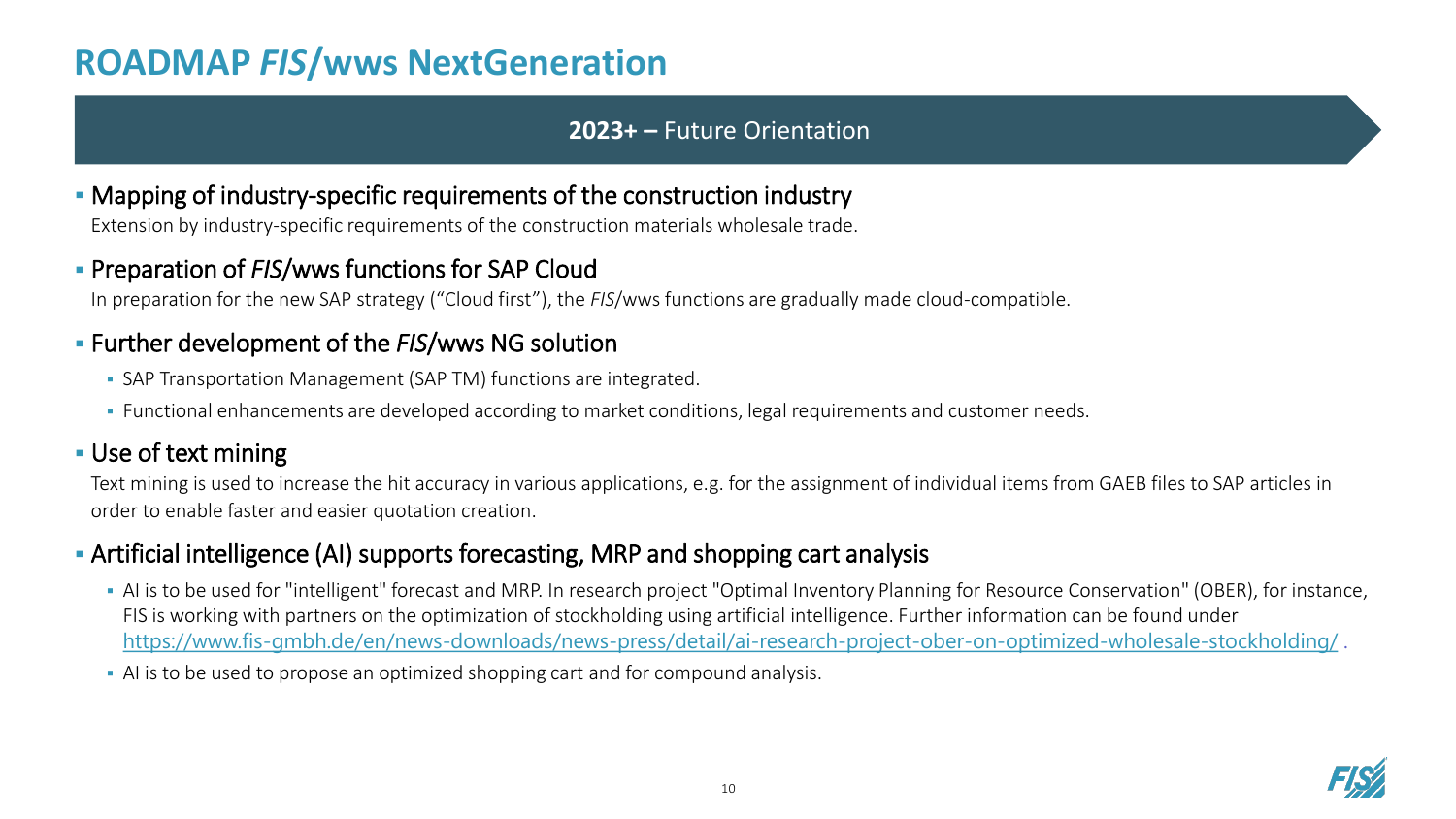#### **2023+ –** Future Orientation

#### ▪ Mapping of industry-specific requirements of the construction industry

Extension by industry-specific requirements of the construction materials wholesale trade.

#### **Preparation of FIS/wws functions for SAP Cloud**

In preparation for the new SAP strategy ("Cloud first"), the *FIS*/wws functions are gradually made cloud-compatible.

#### ▪ Further development of the *FIS*/wws NG solution

- **SAP Transportation Management (SAP TM) functions are integrated.**
- Functional enhancements are developed according to market conditions, legal requirements and customer needs.

#### ▪ Use of text mining

Text mining is used to increase the hit accuracy in various applications, e.g. for the assignment of individual items from GAEB files to SAP articles in order to enable faster and easier quotation creation.

#### ▪ Artificial intelligence (AI) supports forecasting, MRP and shopping cart analysis

- AI is to be used for "intelligent" forecast and MRP. In research project "Optimal Inventory Planning for Resource Conservation" (OBER), for instance, FIS is working with partners on the optimization of stockholding using artificial intelligence. Further information can be found under <https://www.fis-gmbh.de/en/news-downloads/news-press/detail/ai-research-project-ober-on-optimized-wholesale-stockholding/> .
- AI is to be used to propose an optimized shopping cart and for compound analysis.

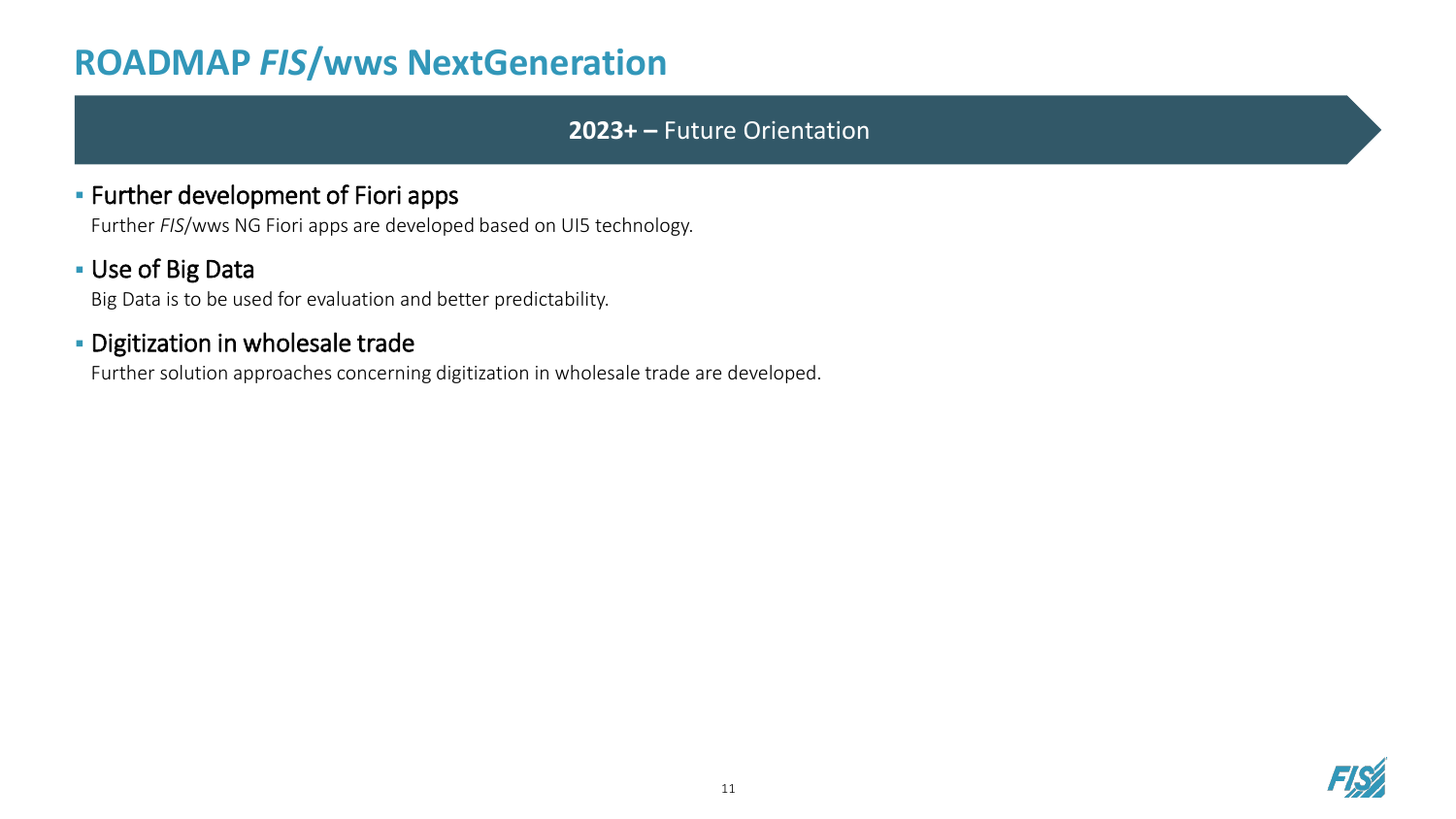#### **2023+ –** Future Orientation

#### **EXECT:** Further development of Fiori apps

Further *FIS*/wws NG Fiori apps are developed based on UI5 technology.

#### **Use of Big Data**

Big Data is to be used for evaluation and better predictability.

#### **- Digitization in wholesale trade**

Further solution approaches concerning digitization in wholesale trade are developed.